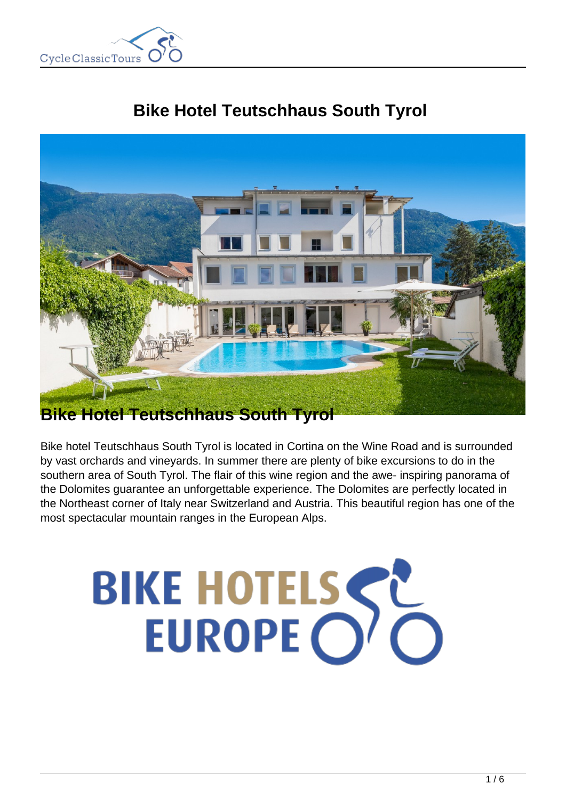

# **Bike Hotel Teutschhaus South Tyrol**



## **Bike Hotel Teutschhaus South Tyrol**

Bike hotel Teutschhaus South Tyrol is located in Cortina on the Wine Road and is surrounded by vast orchards and vineyards. In summer there are plenty of bike excursions to do in the southern area of South Tyrol. The flair of this wine region and the awe- inspiring panorama of the Dolomites guarantee an unforgettable experience. The Dolomites are perfectly located in the Northeast corner of Italy near Switzerland and Austria. This beautiful region has one of the most spectacular mountain ranges in the European Alps.

# BIKE HOTELSSE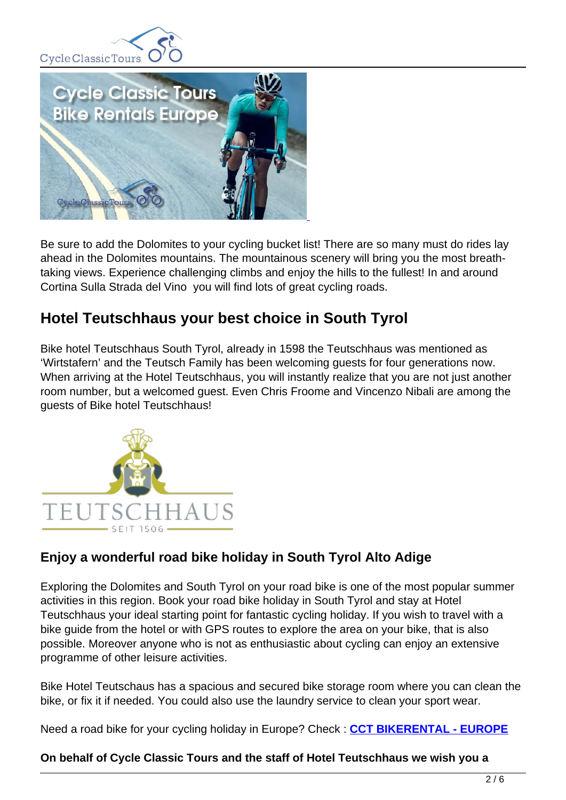



Be sure to add the Dolomites to your cycling bucket list! There are so many must do rides lay ahead in the Dolomites mountains. The mountainous scenery will bring you the most breathtaking views. Experience challenging climbs and enjoy the hills to the fullest! In and around Cortina Sulla Strada del Vino you will find lots of great cycling roads.

## **Hotel Teutschhaus your best choice in South Tyrol**

Bike hotel Teutschhaus South Tyrol, already in 1598 the Teutschhaus was mentioned as 'Wirtstafern' and the Teutsch Family has been welcoming guests for four generations now. When arriving at the Hotel Teutschhaus, you will instantly realize that you are not just another room number, but a welcomed guest. Even Chris Froome and Vincenzo Nibali are among the guests of Bike hotel Teutschhaus!



### **Enjoy a wonderful road bike holiday in South Tyrol Alto Adige**

Exploring the Dolomites and South Tyrol on your road bike is one of the most popular summer activities in this region. Book your road bike holiday in South Tyrol and stay at Hotel Teutschhaus your ideal starting point for fantastic cycling holiday. If you wish to travel with a bike guide from the hotel or with GPS routes to explore the area on your bike, that is also possible. Moreover anyone who is not as enthusiastic about cycling can enjoy an extensive programme of other leisure activities.

Bike Hotel Teutschaus has a spacious and secured bike storage room where you can clean the bike, or fix it if needed. You could also use the laundry service to clean your sport wear.

Need a road bike for your cycling holiday in Europe? Check : **CCT BIKERENTAL - EUROPE**

#### **On behalf of Cycle Classic Tours and the staff of Hotel Teutschhaus we wish you a**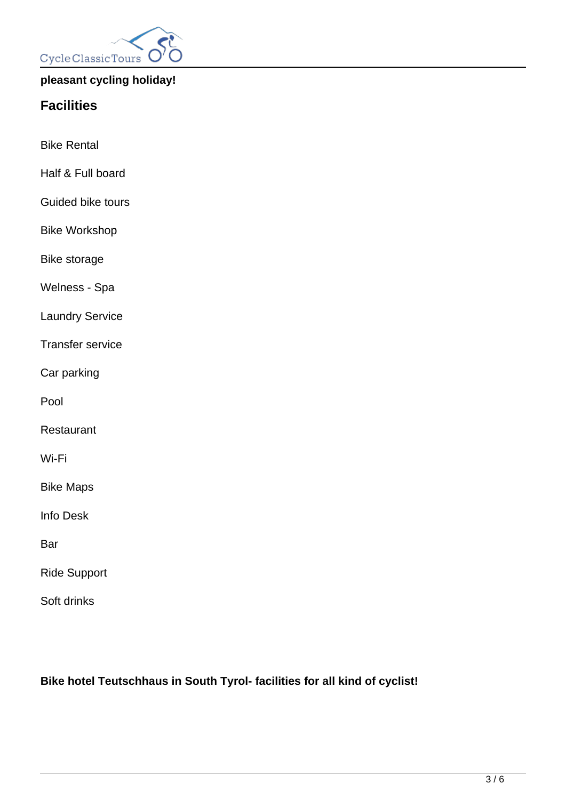

#### **pleasant cycling holiday!**

## **Facilities**

Bike Rental

- Half & Full board
- Guided bike tours
- Bike Workshop

Bike storage

Welness - Spa

Laundry Service

Transfer service

Car parking

Pool

Restaurant

Wi-Fi

Bike Maps

Info Desk

Bar

Ride Support

Soft drinks

**Bike hotel Teutschhaus in South Tyrol- facilities for all kind of cyclist!**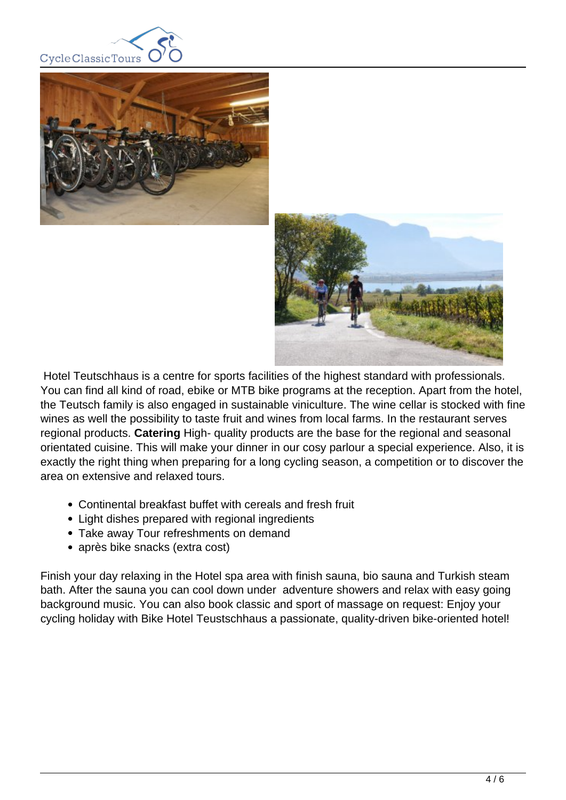





 Hotel Teutschhaus is a centre for sports facilities of the highest standard with professionals. You can find all kind of road, ebike or MTB bike programs at the reception. Apart from the hotel, the Teutsch family is also engaged in sustainable viniculture. The wine cellar is stocked with fine wines as well the possibility to taste fruit and wines from local farms. In the restaurant serves regional products. **Catering** High- quality products are the base for the regional and seasonal orientated cuisine. This will make your dinner in our cosy parlour a special experience. Also, it is exactly the right thing when preparing for a long cycling season, a competition or to discover the area on extensive and relaxed tours.

- Continental breakfast buffet with cereals and fresh fruit
- Light dishes prepared with regional ingredients
- Take away Tour refreshments on demand
- après bike snacks (extra cost)

Finish your day relaxing in the Hotel spa area with finish sauna, bio sauna and Turkish steam bath. After the sauna you can cool down under adventure showers and relax with easy going background music. You can also book classic and sport of massage on request: Enjoy your cycling holiday with Bike Hotel Teustschhaus a passionate, quality-driven bike-oriented hotel!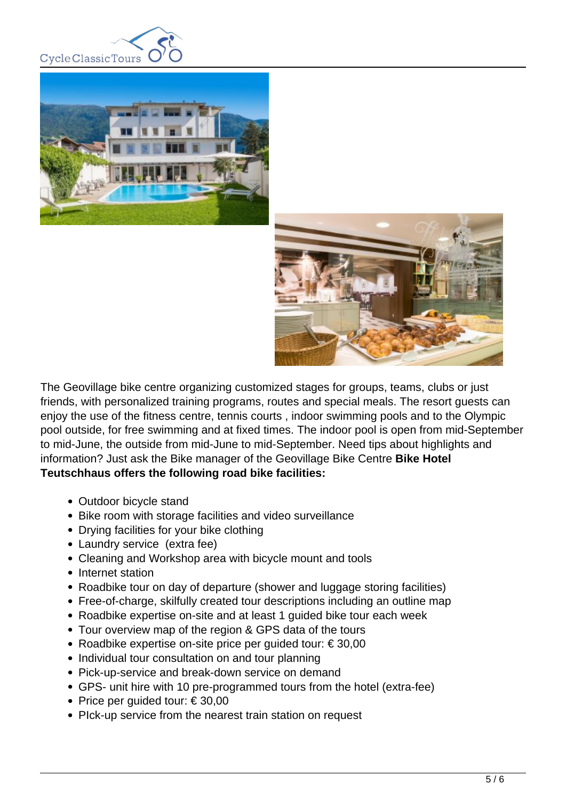





The Geovillage bike centre organizing customized stages for groups, teams, clubs or just friends, with personalized training programs, routes and special meals. The resort guests can enjoy the use of the fitness centre, tennis courts , indoor swimming pools and to the Olympic pool outside, for free swimming and at fixed times. The indoor pool is open from mid-September to mid-June, the outside from mid-June to mid-September. Need tips about highlights and information? Just ask the Bike manager of the Geovillage Bike Centre **Bike Hotel Teutschhaus offers the following road bike facilities:** 

- Outdoor bicycle stand
- Bike room with storage facilities and video surveillance
- Drying facilities for your bike clothing
- Laundry service (extra fee)
- Cleaning and Workshop area with bicycle mount and tools
- Internet station
- Roadbike tour on day of departure (shower and luggage storing facilities)
- Free-of-charge, skilfully created tour descriptions including an outline map
- Roadbike expertise on-site and at least 1 guided bike tour each week
- Tour overview map of the region & GPS data of the tours
- Roadbike expertise on-site price per quided tour: € 30,00
- Individual tour consultation on and tour planning
- Pick-up-service and break-down service on demand
- GPS- unit hire with 10 pre-programmed tours from the hotel (extra-fee)
- Price per guided tour:  $\in$  30,00
- PIck-up service from the nearest train station on request